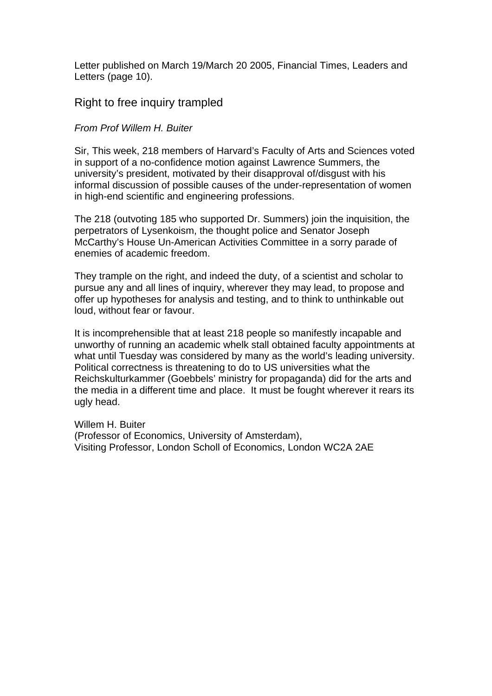Letter published on March 19/March 20 2005, Financial Times, Leaders and Letters (page 10).

## Right to free inquiry trampled

## *From Prof Willem H. Buiter*

Sir, This week, 218 members of Harvard's Faculty of Arts and Sciences voted in support of a no-confidence motion against Lawrence Summers, the university's president, motivated by their disapproval of/disgust with his informal discussion of possible causes of the under-representation of women in high-end scientific and engineering professions.

The 218 (outvoting 185 who supported Dr. Summers) join the inquisition, the perpetrators of Lysenkoism, the thought police and Senator Joseph McCarthy's House Un-American Activities Committee in a sorry parade of enemies of academic freedom.

They trample on the right, and indeed the duty, of a scientist and scholar to pursue any and all lines of inquiry, wherever they may lead, to propose and offer up hypotheses for analysis and testing, and to think to unthinkable out loud, without fear or favour.

It is incomprehensible that at least 218 people so manifestly incapable and unworthy of running an academic whelk stall obtained faculty appointments at what until Tuesday was considered by many as the world's leading university. Political correctness is threatening to do to US universities what the Reichskulturkammer (Goebbels' ministry for propaganda) did for the arts and the media in a different time and place. It must be fought wherever it rears its ugly head.

Willem H. Buiter (Professor of Economics, University of Amsterdam), Visiting Professor, London Scholl of Economics, London WC2A 2AE